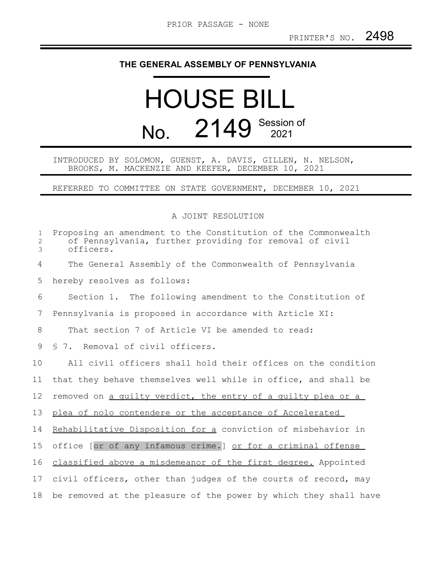## **THE GENERAL ASSEMBLY OF PENNSYLVANIA**

## HOUSE BILL No. 2149 Session of

## INTRODUCED BY SOLOMON, GUENST, A. DAVIS, GILLEN, N. NELSON, BROOKS, M. MACKENZIE AND KEEFER, DECEMBER 10, 2021

REFERRED TO COMMITTEE ON STATE GOVERNMENT, DECEMBER 10, 2021

## A JOINT RESOLUTION

| $\mathbf 1$<br>2<br>3 | Proposing an amendment to the Constitution of the Commonwealth<br>of Pennsylvania, further providing for removal of civil<br>officers. |
|-----------------------|----------------------------------------------------------------------------------------------------------------------------------------|
| 4                     | The General Assembly of the Commonwealth of Pennsylvania                                                                               |
| 5                     | hereby resolves as follows:                                                                                                            |
| 6                     | Section 1. The following amendment to the Constitution of                                                                              |
| 7                     | Pennsylvania is proposed in accordance with Article XI:                                                                                |
| 8                     | That section 7 of Article VI be amended to read:                                                                                       |
| 9                     | § 7. Removal of civil officers.                                                                                                        |
| 10                    | All civil officers shall hold their offices on the condition                                                                           |
| 11                    | that they behave themselves well while in office, and shall be                                                                         |
| 12                    | removed on a quilty verdict, the entry of a quilty plea or a                                                                           |
| 13                    | plea of nolo contendere or the acceptance of Accelerated                                                                               |
| 14                    | Rehabilitative Disposition for a conviction of misbehavior in                                                                          |
| 15                    | office [or of any infamous crime.] or for a criminal offense                                                                           |
| 16                    | classified above a misdemeanor of the first degree. Appointed                                                                          |
| 17                    | civil officers, other than judges of the courts of record, may                                                                         |
| 18                    | be removed at the pleasure of the power by which they shall have                                                                       |